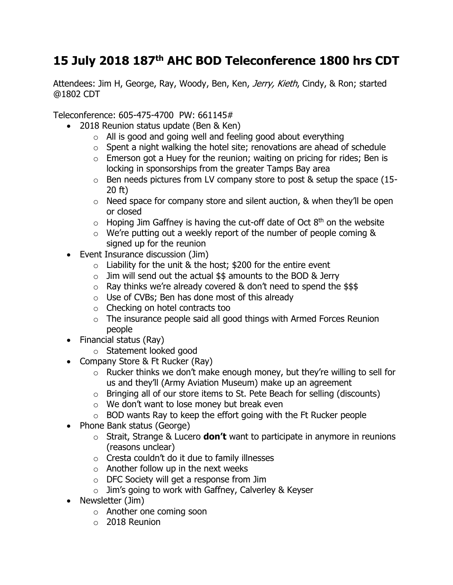## **15 July 2018 187th AHC BOD Teleconference 1800 hrs CDT**

Attendees: Jim H, George, Ray, Woody, Ben, Ken, *Jerry, Kieth*, Cindy, & Ron; started @1802 CDT

Teleconference: 605-475-4700 PW: 661145#

- 2018 Reunion status update (Ben & Ken)
	- $\circ$  All is good and going well and feeling good about everything
	- $\circ$  Spent a night walking the hotel site; renovations are ahead of schedule
	- $\circ$  Emerson got a Huey for the reunion; waiting on pricing for rides; Ben is locking in sponsorships from the greater Tamps Bay area
	- o Ben needs pictures from LV company store to post & setup the space (15- 20 ft)
	- o Need space for company store and silent auction, & when they'll be open or closed
	- $\circ$  Hoping Jim Gaffney is having the cut-off date of Oct  $8<sup>th</sup>$  on the website
	- o We're putting out a weekly report of the number of people coming & signed up for the reunion
- Event Insurance discussion (Jim)
	- $\circ$  Liability for the unit & the host; \$200 for the entire event
	- $\circ$  Jim will send out the actual \$\$ amounts to the BOD & Jerry
	- $\circ$  Ray thinks we're already covered & don't need to spend the \$\$\$
	- $\circ$  Use of CVBs; Ben has done most of this already
	- o Checking on hotel contracts too
	- $\circ$  The insurance people said all good things with Armed Forces Reunion people
- Financial status (Ray)
	- o Statement looked good
- Company Store & Ft Rucker (Ray)
	- o Rucker thinks we don't make enough money, but they're willing to sell for us and they'll (Army Aviation Museum) make up an agreement
	- o Bringing all of our store items to St. Pete Beach for selling (discounts)
	- o We don't want to lose money but break even
	- $\circ$  BOD wants Ray to keep the effort going with the Ft Rucker people
- Phone Bank status (George)
	- o Strait, Strange & Lucero **don't** want to participate in anymore in reunions (reasons unclear)
	- o Cresta couldn't do it due to family illnesses
	- $\circ$  Another follow up in the next weeks
	- o DFC Society will get a response from Jim
	- $\circ$  Jim's going to work with Gaffney, Calverley & Keyser
- Newsletter (Jim)
	- o Another one coming soon
	- $\circ$  2018 Reunion